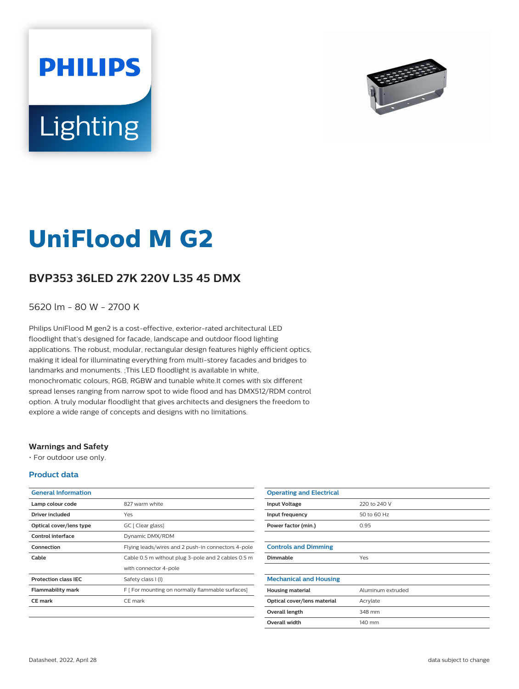



# **UniFlood M G2**

# **BVP353 36LED 27K 220V L35 45 DMX**

5620 lm - 80 W - 2700 K

Philips UniFlood M gen2 is a cost-effective, exterior-rated architectural LED floodlight that's designed for facade, landscape and outdoor flood lighting applications. The robust, modular, rectangular design features highly efficient optics, making it ideal for illuminating everything from multi-storey facades and bridges to landmarks and monuments. ;This LED floodlight is available in white, monochromatic colours, RGB, RGBW and tunable white.It comes with six different spread lenses ranging from narrow spot to wide flood and has DMX512/RDM control option. A truly modular floodlight that gives architects and designers the freedom to explore a wide range of concepts and designs with no limitations.

## **Warnings and Safety**

• For outdoor use only.

## **Product data**

| <b>General Information</b>  |                                                    |
|-----------------------------|----------------------------------------------------|
| Lamp colour code            | 827 warm white                                     |
| Driver included             | Yes                                                |
| Optical cover/lens type     | GC [ Clear glass]                                  |
| Control interface           | Dynamic DMX/RDM                                    |
| Connection                  | Flying leads/wires and 2 push-in connectors 4-pole |
| Cable                       | Cable 0.5 m without plug 3-pole and 2 cables 0.5 m |
|                             | with connector 4-pole                              |
| <b>Protection class IEC</b> | Safety class I (I)                                 |
| <b>Flammability mark</b>    | F [ For mounting on normally flammable surfaces]   |
| <b>CE</b> mark              | CE mark                                            |
|                             |                                                    |

| <b>Operating and Electrical</b> |                   |
|---------------------------------|-------------------|
| <b>Input Voltage</b>            | 220 to 240 V      |
| Input frequency                 | 50 to 60 Hz       |
| Power factor (min.)             | 0.95              |
|                                 |                   |
| <b>Controls and Dimming</b>     |                   |
| Dimmable                        | Yes               |
|                                 |                   |
| <b>Mechanical and Housing</b>   |                   |
| <b>Housing material</b>         | Aluminum extruded |
| Optical cover/lens material     | Acrylate          |
| Overall length                  | 348 mm            |
| <b>Overall width</b>            | 140 mm            |
|                                 |                   |